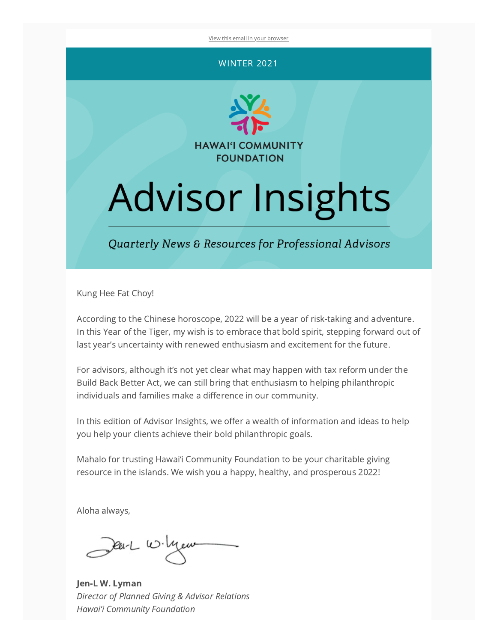View this email in your [browser](https://mailchi.mp/dc22d14440e9/advisor-insights-quarterly-news-resources-for-professional-advisors?e=[UNIQID])

#### WINTER 2021



# **Advisor Insights**

Quarterly News & Resources for Professional Advisors

Kung Hee Fat Choy!

According to the Chinese horoscope, 2022 will be a year of risk-taking and adventure. In this Year of the Tiger, my wish is to embrace that bold spirit, stepping forward out of last year's uncertainty with renewed enthusiasm and excitement for the future.

For advisors, although it's not yet clear what may happen with tax reform under the Build Back Better Act, we can still bring that enthusiasm to helping philanthropic individuals and families make a difference in our community.

In this edition of Advisor Insights, we offer a wealth of information and ideas to help you help your clients achieve their bold philanthropic goals.

Mahalo for trusting Hawai'i Community Foundation to be your charitable giving resource in the islands. We wish you a happy, healthy, and prosperous 2022!

Aloha always,

Dear W. Mew

Jen-L W. Lyman Director of Planned Giving & Advisor Relations Hawai'i Community Foundation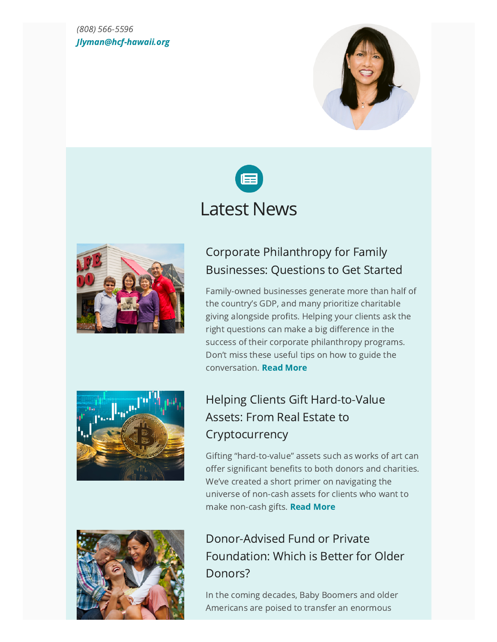#### (808) 566-5596 [Jlyman@hcf-hawaii.org](mailto:Jlyman@hcf-hawaii.org)







#### Corporate [Philanthropy](https://www.hawaiicommunityfoundation.org/professional-advisors/corporate-philanthropy-for-family-businesses) for Family Businesses: Questions to Get Started

Family-owned businesses generate more than half of the country's GDP, and many prioritize charitable giving alongside profits. Helping your clients ask the right questions can make a big difference in the success of their corporate philanthropy programs. Don't miss these useful tips on how to guide the conversation. Read [More](https://www.hawaiicommunityfoundation.org/professional-advisors/corporate-philanthropy-for-family-businesses)



## Helping Clients Gift Hard-to-Value Assets: From Real Estate to **[Cryptocurrency](https://www.hawaiicommunityfoundation.org/professional-advisors/helping-clients-gift-hard-to-value-assets)**

Gifting "hard-to-value" assets such as works of art can offer significant benefits to both donors and charities. We've created a short primer on navigating the universe of non-cash assets for clients who want to make non-cash gifts. Read [More](https://www.hawaiicommunityfoundation.org/professional-advisors/helping-clients-gift-hard-to-value-assets)



### [Donor-Advised](https://www.hawaiicommunityfoundation.org/professional-advisors/donor-advised-fund-or-private-foundation) Fund or Private Foundation: Which is Better for Older Donors?

In the coming decades, Baby Boomers and older Americans are poised to transfer an enormous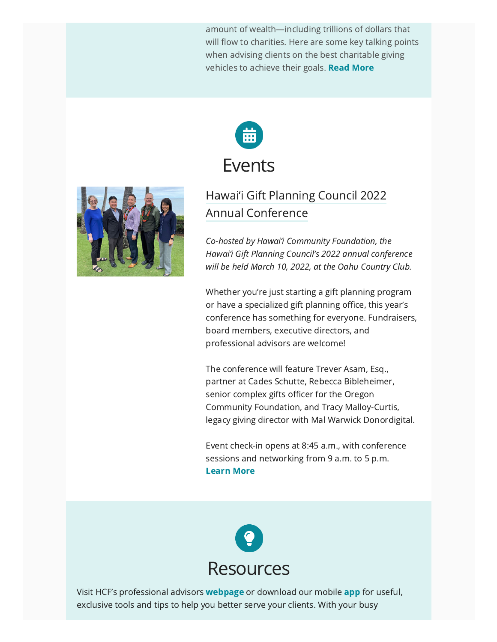amount of wealth—including trillions of dollars that will flow to charities. Here are some key talking points when advising clients on the best charitable giving vehicles to achieve their goals. Read [More](https://www.hawaiicommunityfoundation.org/professional-advisors/donor-advised-fund-or-private-foundation)





#### Hawai'i Gift Planning Council 2022 Annual [Conference](https://hawaiigiftplanning.org/event/march-10-2022-annual-conference-on-gift-planning/?instance_id=180)

Co-hosted by Hawai'i Community Foundation, the Hawai'i Gift Planning Council's 2022 annual conference will be held March 10, 2022, at the Oahu Country Club.

Whether you're just starting a gift planning program or have a specialized gift planning office, this year's conference has something for everyone. Fundraisers, board members, executive directors, and professional advisors are welcome!

The conference will feature Trever Asam, Esq., partner at Cades Schutte, Rebecca Bibleheimer, senior complex gifts officer for the Oregon Community Foundation, and Tracy Malloy-Curtis, legacy giving director with Mal Warwick Donordigital.

Event check-in opens at 8:45 a.m., with conference sessions and networking from 9 a.m. to 5 p.m. [Learn](https://hawaiigiftplanning.org/event/march-10-2022-annual-conference-on-gift-planning/?instance_id=180) More



Visit HCF's professional advisors **[webpage](https://www.hawaiicommunityfoundation.org/professional-advisors)** or download our mobile [app](https://apps.apple.com/us/app/center-professional-advisors/id1299264561) for useful, exclusive tools and tips to help you better serve your clients. With your busy